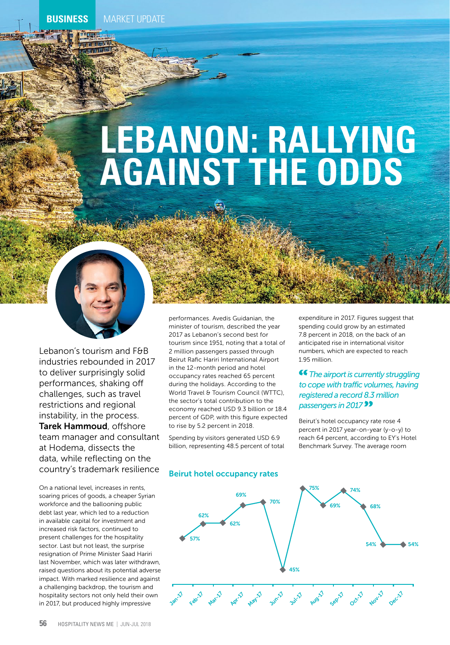# **LEBANON: RALLYING AGAINST THE ODDS**



Lebanon's tourism and F&B industries rebounded in 2017 to deliver surprisingly solid performances, shaking off challenges, such as travel restrictions and regional instability, in the process. Tarek Hammoud, offshore team manager and consultant at Hodema, dissects the data, while reflecting on the country's trademark resilience

On a national level, increases in rents, soaring prices of goods, a cheaper Syrian workforce and the ballooning public debt last year, which led to a reduction in available capital for investment and increased risk factors, continued to present challenges for the hospitality sector. Last but not least, the surprise resignation of Prime Minister Saad Hariri last November, which was later withdrawn, raised questions about its potential adverse impact. With marked resilience and against a challenging backdrop, the tourism and hospitality sectors not only held their own in 2017, but produced highly impressive

performances. Avedis Guidanian, the minister of tourism, described the year 2017 as Lebanon's second best for tourism since 1951, noting that a total of 2 million passengers passed through Beirut Rafic Hariri International Airport in the 12-month period and hotel occupancy rates reached 65 percent during the holidays. According to the World Travel & Tourism Council (WTTC), the sector's total contribution to the economy reached USD 9.3 billion or 18.4 percent of GDP, with this figure expected to rise by 5.2 percent in 2018.

Spending by visitors generated USD 6.9 billion, representing 48.5 percent of total

#### Beirut hotel occupancy rates

expenditure in 2017. Figures suggest that spending could grow by an estimated 7.8 percent in 2018, on the back of an anticipated rise in international visitor numbers, which are expected to reach 1.95 million.

# *The airport is currently struggling to cope with traffic volumes, having registered a record 8.3 million passengers in 2017*

Beirut's hotel occupancy rate rose 4 percent in 2017 year-on-year (y-o-y) to reach 64 percent, according to EY's Hotel Benchmark Survey. The average room